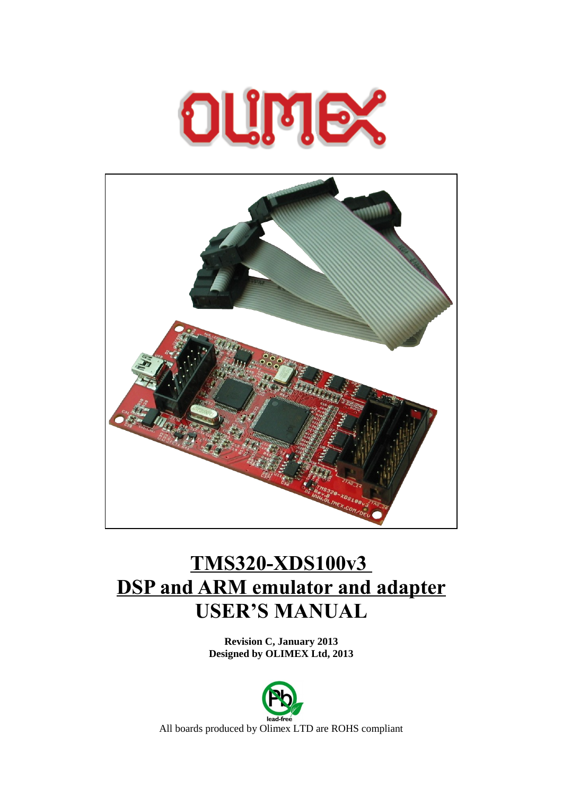



# **TMS320-XDS100v3 DSP and ARM emulator and adapter USER'S MANUAL**

**Revision C, January 2013 Designed by OLIMEX Ltd, 2013**

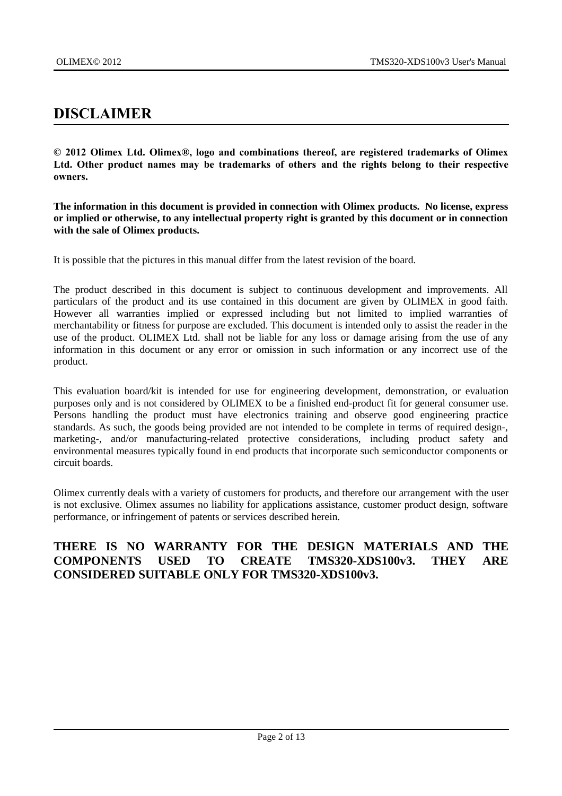# <span id="page-1-0"></span>**DISCLAIMER**

**© 2012 Olimex Ltd. Olimex®, logo and combinations thereof, are registered trademarks of Olimex Ltd. Other product names may be trademarks of others and the rights belong to their respective owners.**

**The information in this document is provided in connection with Olimex products. No license, express or implied or otherwise, to any intellectual property right is granted by this document or in connection with the sale of Olimex products.**

It is possible that the pictures in this manual differ from the latest revision of the board.

The product described in this document is subject to continuous development and improvements. All particulars of the product and its use contained in this document are given by OLIMEX in good faith. However all warranties implied or expressed including but not limited to implied warranties of merchantability or fitness for purpose are excluded. This document is intended only to assist the reader in the use of the product. OLIMEX Ltd. shall not be liable for any loss or damage arising from the use of any information in this document or any error or omission in such information or any incorrect use of the product.

This evaluation board/kit is intended for use for engineering development, demonstration, or evaluation purposes only and is not considered by OLIMEX to be a finished end-product fit for general consumer use. Persons handling the product must have electronics training and observe good engineering practice standards. As such, the goods being provided are not intended to be complete in terms of required design-, marketing-, and/or manufacturing-related protective considerations, including product safety and environmental measures typically found in end products that incorporate such semiconductor components or circuit boards.

Olimex currently deals with a variety of customers for products, and therefore our arrangement with the user is not exclusive. Olimex assumes no liability for applications assistance, customer product design, software performance, or infringement of patents or services described herein.

### **THERE IS NO WARRANTY FOR THE DESIGN MATERIALS AND THE COMPONENTS USED TO CREATE TMS320-XDS100v3. THEY ARE CONSIDERED SUITABLE ONLY FOR TMS320-XDS100v3.**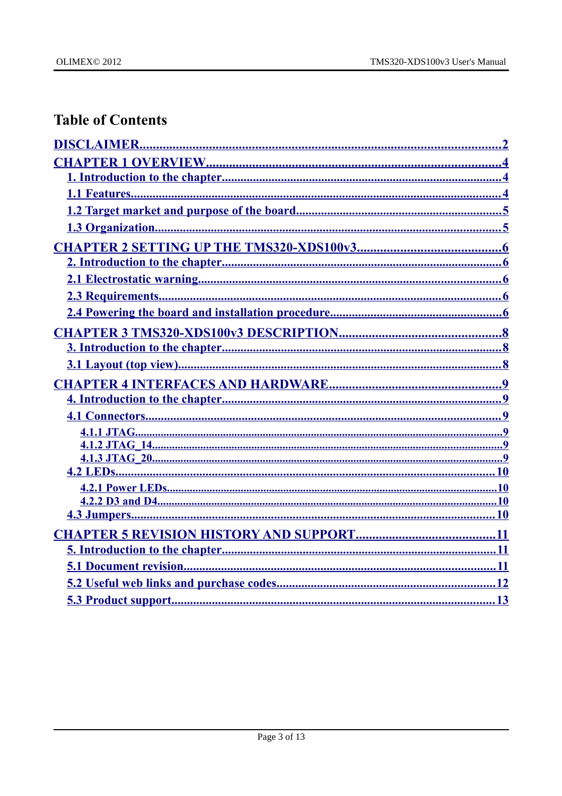# **Table of Contents**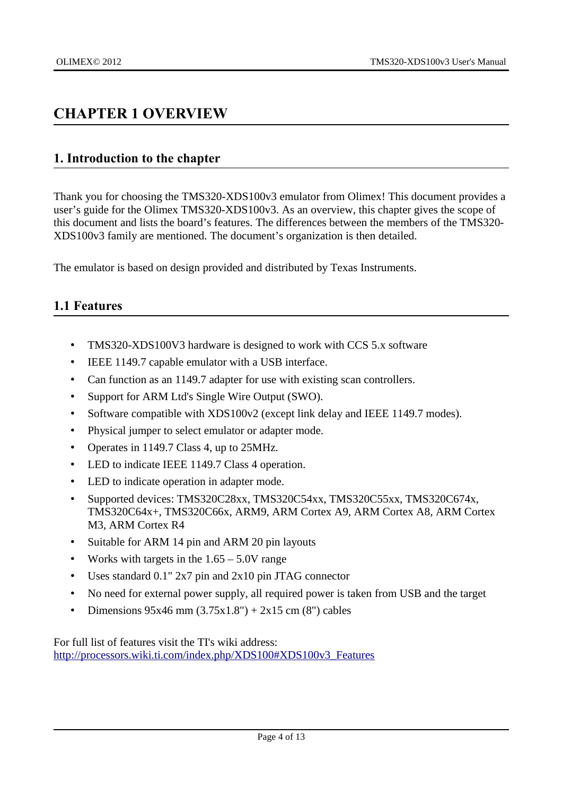# <span id="page-3-2"></span>**CHAPTER 1 OVERVIEW**

### <span id="page-3-1"></span>**1. Introduction to the chapter**

Thank you for choosing the TMS320-XDS100v3 emulator from Olimex! This document provides a user's guide for the Olimex TMS320-XDS100v3. As an overview, this chapter gives the scope of this document and lists the board's features. The differences between the members of the TMS320- XDS100v3 family are mentioned. The document's organization is then detailed.

The emulator is based on design provided and distributed by Texas Instruments.

# <span id="page-3-0"></span>**1.1 Features**

- TMS320-XDS100V3 hardware is designed to work with CCS 5.x software
- IEEE 1149.7 capable emulator with a USB interface.
- Can function as an 1149.7 adapter for use with existing scan controllers.
- Support for ARM Ltd's Single Wire Output (SWO).
- Software compatible with XDS100v2 (except link delay and IEEE 1149.7 modes).
- Physical jumper to select emulator or adapter mode.
- Operates in 1149.7 Class 4, up to 25MHz.
- LED to indicate IEEE 1149.7 Class 4 operation.
- LED to indicate operation in adapter mode.
- Supported devices: TMS320C28xx, TMS320C54xx, TMS320C55xx, TMS320C674x, TMS320C64x+, TMS320C66x, ARM9, ARM Cortex A9, ARM Cortex A8, ARM Cortex M3, ARM Cortex R4
- Suitable for ARM 14 pin and ARM 20 pin layouts
- Works with targets in the 1.65 5.0V range
- Uses standard 0.1" 2x7 pin and 2x10 pin JTAG connector
- No need for external power supply, all required power is taken from USB and the target
- Dimensions  $95x46$  mm  $(3.75x1.8") + 2x15$  cm  $(8")$  cables

For full list of features visit the TI's wiki address: [http://processors.wiki.ti.com/index.php/XDS100#XDS100v3\\_Features](http://processors.wiki.ti.com/index.php/XDS100#XDS100v3_Features)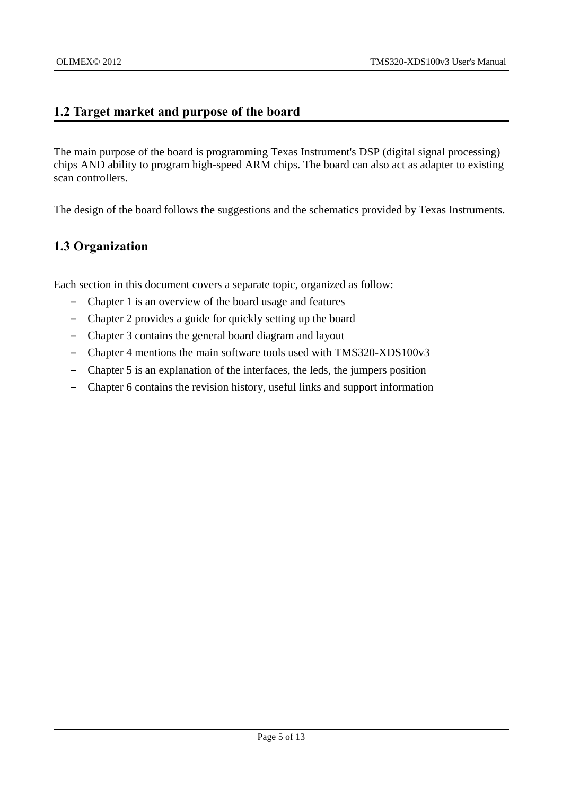### <span id="page-4-1"></span>**1.2 Target market and purpose of the board**

The main purpose of the board is programming Texas Instrument's DSP (digital signal processing) chips AND ability to program high-speed ARM chips. The board can also act as adapter to existing scan controllers.

The design of the board follows the suggestions and the schematics provided by Texas Instruments.

# <span id="page-4-0"></span>**1.3 Organization**

Each section in this document covers a separate topic, organized as follow:

- Chapter 1 is an overview of the board usage and features
- Chapter 2 provides a guide for quickly setting up the board
- Chapter 3 contains the general board diagram and layout
- Chapter 4 mentions the main software tools used with TMS320-XDS100v3
- Chapter 5 is an explanation of the interfaces, the leds, the jumpers position
- Chapter 6 contains the revision history, useful links and support information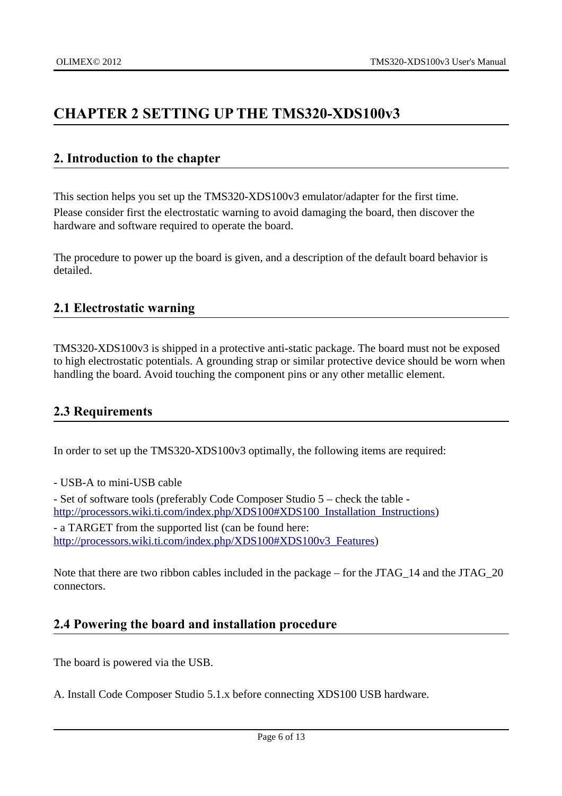# <span id="page-5-4"></span>**CHAPTER 2 SETTING UP THE TMS320-XDS100v3**

### <span id="page-5-3"></span>**2. Introduction to the chapter**

This section helps you set up the TMS320-XDS100v3 emulator/adapter for the first time. Please consider first the electrostatic warning to avoid damaging the board, then discover the hardware and software required to operate the board.

The procedure to power up the board is given, and a description of the default board behavior is detailed.

# <span id="page-5-2"></span>**2.1 Electrostatic warning**

TMS320-XDS100v3 is shipped in a protective anti-static package. The board must not be exposed to high electrostatic potentials. A grounding strap or similar protective device should be worn when handling the board. Avoid touching the component pins or any other metallic element.

# <span id="page-5-1"></span>**2.3 Requirements**

In order to set up the TMS320-XDS100v3 optimally, the following items are required:

- USB-A to mini-USB cable

- Set of software tools (preferably Code Composer Studio 5 – check the table [http://processors.wiki.ti.com/index.php/XDS100#XDS100\\_Installation\\_Instructions\)](http://processors.wiki.ti.com/index.php/XDS100#XDS100_Installation_Instructions) - a TARGET from the supported list (can be found here: [http://processors.wiki.ti.com/index.php/XDS100#XDS100v3\\_Features\)](http://processors.wiki.ti.com/index.php/XDS100#XDS100v3_Features)

Note that there are two ribbon cables included in the package – for the JTAG\_14 and the JTAG\_20 connectors.

# <span id="page-5-0"></span>**2.4 Powering the board and installation procedure**

The board is powered via the USB.

A. Install Code Composer Studio 5.1.x before connecting XDS100 USB hardware.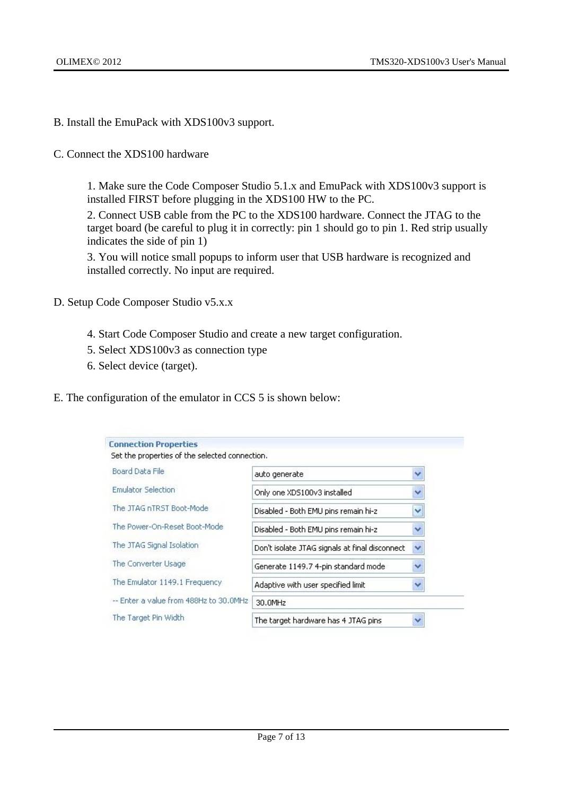- B. Install the EmuPack with XDS100v3 support.
- C. Connect the XDS100 hardware

1. Make sure the Code Composer Studio 5.1.x and EmuPack with XDS100v3 support is installed FIRST before plugging in the XDS100 HW to the PC.

2. Connect USB cable from the PC to the XDS100 hardware. Connect the JTAG to the target board (be careful to plug it in correctly: pin 1 should go to pin 1. Red strip usually indicates the side of pin 1)

3. You will notice small popups to inform user that USB hardware is recognized and installed correctly. No input are required.

- D. Setup Code Composer Studio v5.x.x
	- 4. Start Code Composer Studio and create a new target configuration.
	- 5. Select XDS100v3 as connection type
	- 6. Select device (target).
- E. The configuration of the emulator in CCS 5 is shown below:

| <b>Connection Properties</b>                   |                                                |   |
|------------------------------------------------|------------------------------------------------|---|
| Set the properties of the selected connection. |                                                |   |
| Board Data File                                | auto generate                                  |   |
| <b>Emulator Selection</b>                      | Only one XDS100v3 installed                    | v |
| The JTAG nTRST Boot-Mode                       | Disabled - Both EMU pins remain hi-z           | Ÿ |
| The Power-On-Reset Boot-Mode                   | Disabled - Both EMU pins remain hi-z           | Ÿ |
| The JTAG Signal Isolation                      | Don't isolate JTAG signals at final disconnect | ₩ |
| The Converter Usage                            | Generate 1149.7 4-pin standard mode            | v |
| The Emulator 1149.1 Frequency                  | Adaptive with user specified limit             |   |
| -- Enter a value from 488Hz to 30.0MHz         | 30.0MHz                                        |   |
| The Target Pin Width                           | The target hardware has 4 JTAG pins            |   |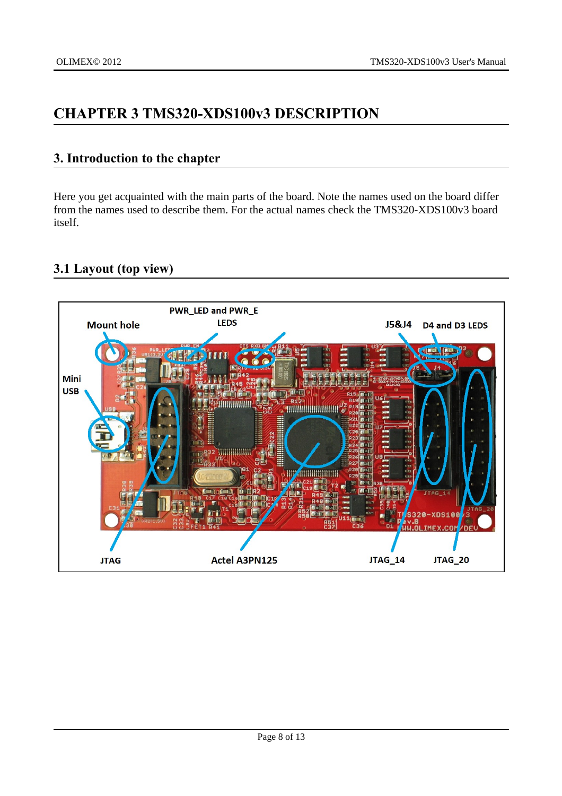# <span id="page-7-2"></span>**CHAPTER 3 TMS320-XDS100v3 DESCRIPTION**

### <span id="page-7-1"></span>**3. Introduction to the chapter**

Here you get acquainted with the main parts of the board. Note the names used on the board differ from the names used to describe them. For the actual names check the TMS320-XDS100v3 board itself.

# <span id="page-7-0"></span>**3.1 Layout (top view)**

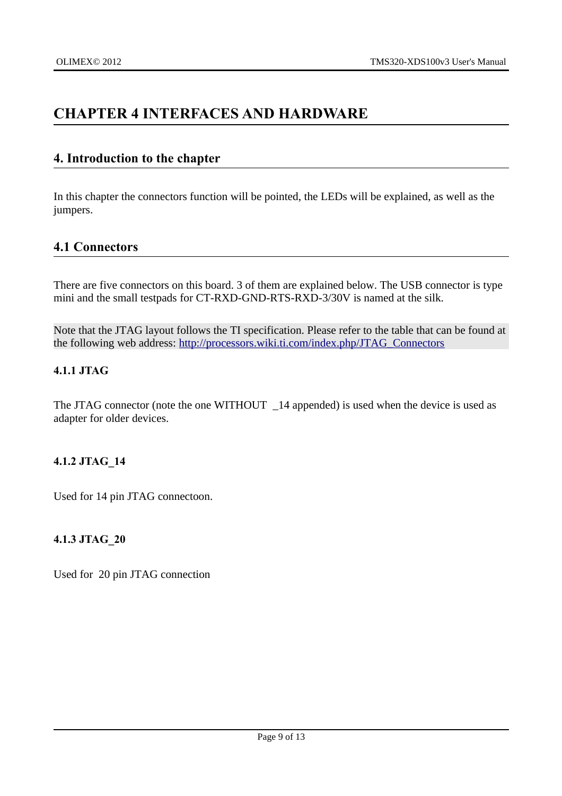# <span id="page-8-5"></span>**CHAPTER 4 INTERFACES AND HARDWARE**

### <span id="page-8-4"></span>**4. Introduction to the chapter**

In this chapter the connectors function will be pointed, the LEDs will be explained, as well as the jumpers.

### <span id="page-8-3"></span>**4.1 Connectors**

There are five connectors on this board. 3 of them are explained below. The USB connector is type mini and the small testpads for CT-RXD-GND-RTS-RXD-3/30V is named at the silk.

Note that the JTAG layout follows the TI specification. Please refer to the table that can be found at the following web address: [http://processors.wiki.ti.com/index.php/JTAG\\_Connectors](http://processors.wiki.ti.com/index.php/JTAG_Connectors)

#### <span id="page-8-2"></span>**4.1.1 JTAG**

The JTAG connector (note the one WITHOUT \_14 appended) is used when the device is used as adapter for older devices.

### <span id="page-8-1"></span>**4.1.2 JTAG\_14**

Used for 14 pin JTAG connectoon.

### <span id="page-8-0"></span>**4.1.3 JTAG\_20**

Used for 20 pin JTAG connection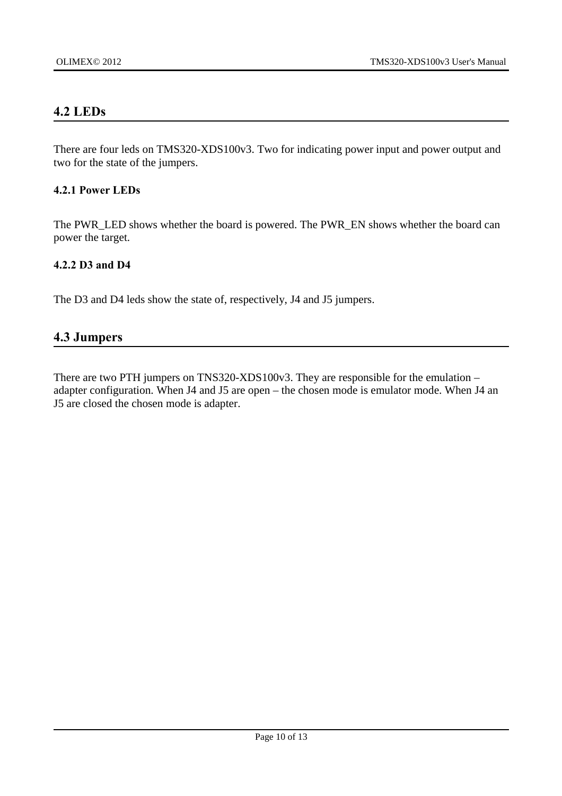### <span id="page-9-3"></span>**4.2 LEDs**

There are four leds on TMS320-XDS100v3. Two for indicating power input and power output and two for the state of the jumpers.

#### <span id="page-9-2"></span>**4.2.1 Power LEDs**

The PWR\_LED shows whether the board is powered. The PWR\_EN shows whether the board can power the target.

#### <span id="page-9-1"></span>**4.2.2 D3 and D4**

The D3 and D4 leds show the state of, respectively, J4 and J5 jumpers.

#### <span id="page-9-0"></span>**4.3 Jumpers**

There are two PTH jumpers on TNS320-XDS100v3. They are responsible for the emulation – adapter configuration. When J4 and J5 are open – the chosen mode is emulator mode. When J4 an J5 are closed the chosen mode is adapter.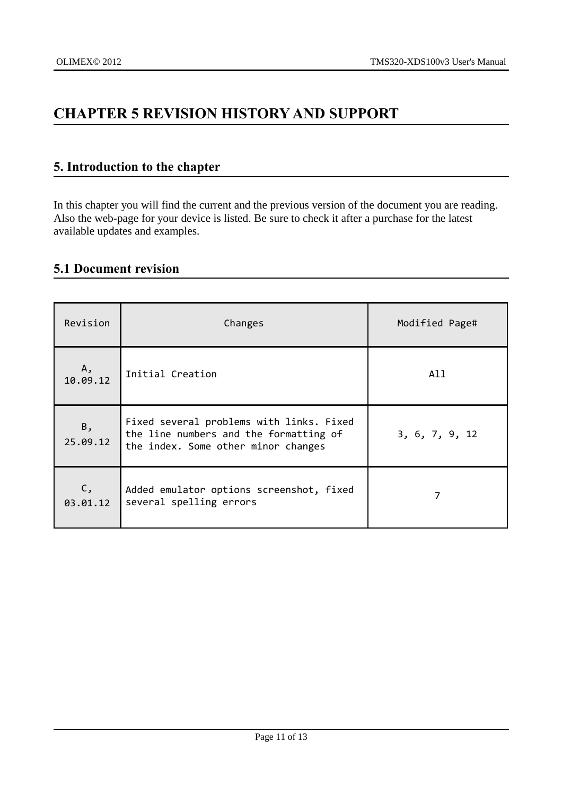# <span id="page-10-2"></span>**CHAPTER 5 REVISION HISTORY AND SUPPORT**

# <span id="page-10-1"></span>**5. Introduction to the chapter**

In this chapter you will find the current and the previous version of the document you are reading. Also the web-page for your device is listed. Be sure to check it after a purchase for the latest available updates and examples.

# <span id="page-10-0"></span>**5.1 Document revision**

| Revision       | Changes                                                                                                                   | Modified Page# |  |
|----------------|---------------------------------------------------------------------------------------------------------------------------|----------------|--|
| Α,<br>10.09.12 | Initial Creation                                                                                                          | All            |  |
| Β,<br>25.09.12 | Fixed several problems with links. Fixed<br>the line numbers and the formatting of<br>the index. Some other minor changes | 3, 6, 7, 9, 12 |  |
| C,<br>03.01.12 | Added emulator options screenshot, fixed<br>several spelling errors                                                       |                |  |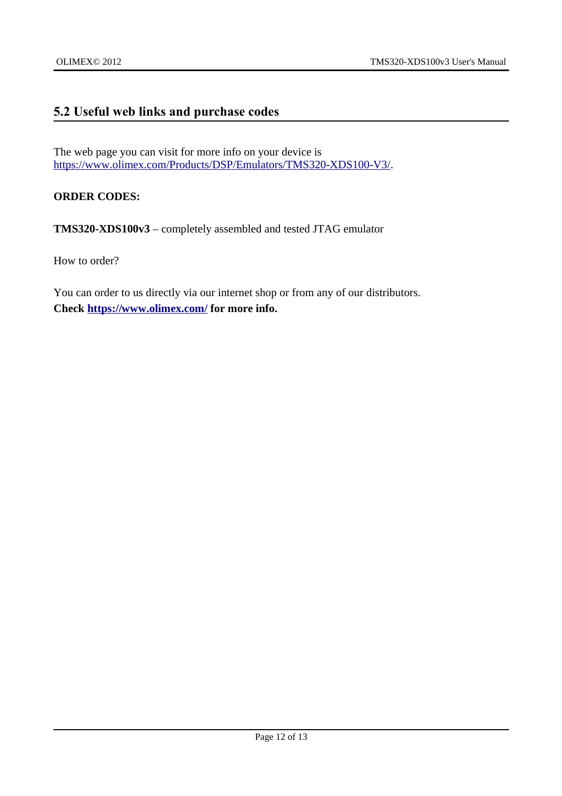# <span id="page-11-0"></span>**5.2 Useful web links and purchase codes**

The web page you can visit for more info on your device is [https://www.olimex.com/Products/DSP/Emulators/TMS320-XDS100-V3/.](https://www.olimex.com/Products/DSP/Emulators/TMS320-XDS100-V3/)

**ORDER CODES:**

**TMS320-XDS100v3** – completely assembled and tested JTAG emulator

How to order?

You can order to us directly via our internet shop or from any of our distributors. **Check <https://www.olimex.com/>for more info.**